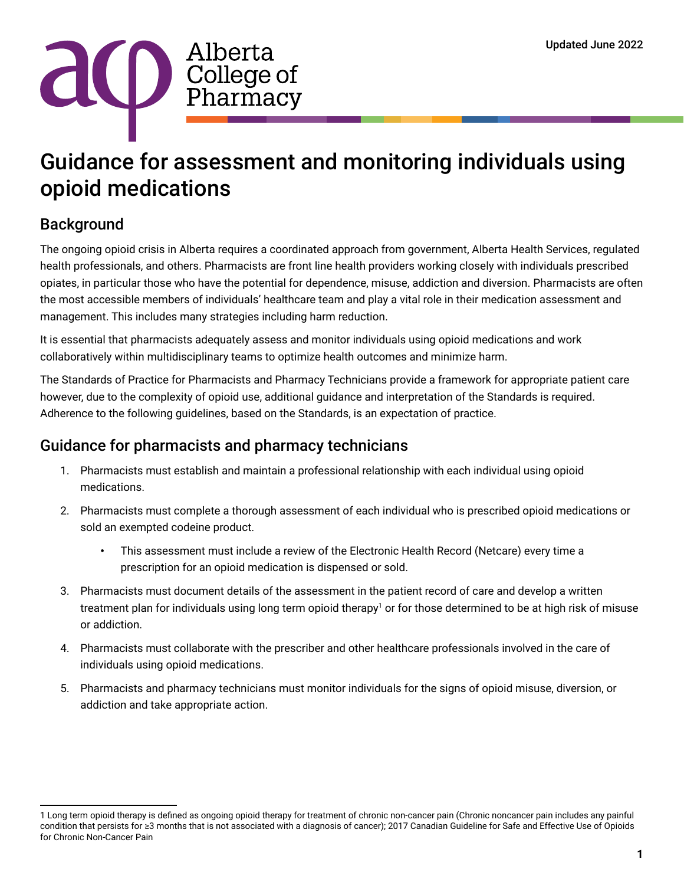

# Guidance for assessment and monitoring individuals using opioid medications

# **Background**

The ongoing opioid crisis in Alberta requires a coordinated approach from government, Alberta Health Services, regulated health professionals, and others. Pharmacists are front line health providers working closely with individuals prescribed opiates, in particular those who have the potential for dependence, misuse, addiction and diversion. Pharmacists are often the most accessible members of individuals' healthcare team and play a vital role in their medication assessment and management. This includes many strategies including harm reduction.

It is essential that pharmacists adequately assess and monitor individuals using opioid medications and work collaboratively within multidisciplinary teams to optimize health outcomes and minimize harm.

The Standards of Practice for Pharmacists and Pharmacy Technicians provide a framework for appropriate patient care however, due to the complexity of opioid use, additional guidance and interpretation of the Standards is required. Adherence to the following guidelines, based on the Standards, is an expectation of practice.

## Guidance for pharmacists and pharmacy technicians

- 1. Pharmacists must establish and maintain a professional relationship with each individual using opioid medications.
- 2. Pharmacists must complete a thorough assessment of each individual who is prescribed opioid medications or sold an exempted codeine product.
	- This assessment must include a review of the Electronic Health Record (Netcare) every time a prescription for an opioid medication is dispensed or sold.
- 3. Pharmacists must document details of the assessment in the patient record of care and develop a written treatment plan for individuals using long term opioid therapy<sup>1</sup> or for those determined to be at high risk of misuse or addiction.
- 4. Pharmacists must collaborate with the prescriber and other healthcare professionals involved in the care of individuals using opioid medications.
- 5. Pharmacists and pharmacy technicians must monitor individuals for the signs of opioid misuse, diversion, or addiction and take appropriate action.

<sup>1</sup> Long term opioid therapy is defined as ongoing opioid therapy for treatment of chronic non-cancer pain (Chronic noncancer pain includes any painful condition that persists for ≥3 months that is not associated with a diagnosis of cancer); 2017 Canadian Guideline for Safe and Effective Use of Opioids for Chronic Non-Cancer Pain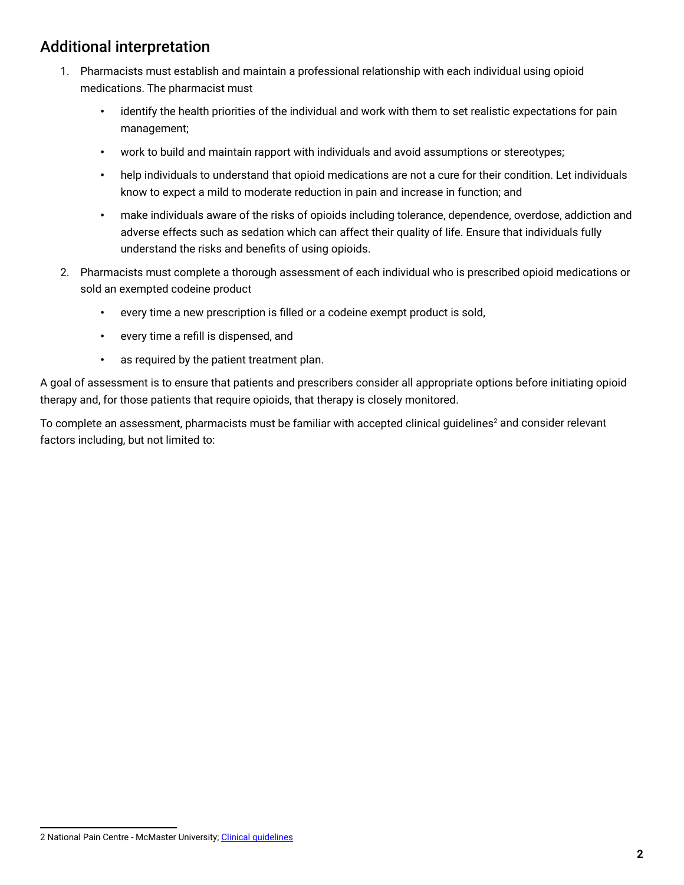# Additional interpretation

- 1. Pharmacists must establish and maintain a professional relationship with each individual using opioid medications. The pharmacist must
	- identify the health priorities of the individual and work with them to set realistic expectations for pain management;
	- work to build and maintain rapport with individuals and avoid assumptions or stereotypes;
	- help individuals to understand that opioid medications are not a cure for their condition. Let individuals know to expect a mild to moderate reduction in pain and increase in function; and
	- make individuals aware of the risks of opioids including tolerance, dependence, overdose, addiction and adverse effects such as sedation which can affect their quality of life. Ensure that individuals fully understand the risks and benefits of using opioids.
- 2. Pharmacists must complete a thorough assessment of each individual who is prescribed opioid medications or sold an exempted codeine product
	- every time a new prescription is filled or a codeine exempt product is sold,
	- every time a refill is dispensed, and
	- as required by the patient treatment plan.

A goal of assessment is to ensure that patients and prescribers consider all appropriate options before initiating opioid therapy and, for those patients that require opioids, that therapy is closely monitored.

To complete an assessment, pharmacists must be familiar with accepted clinical guidelines $^{\rm 2}$  and consider relevant factors including, but not limited to:

<sup>2</sup> National Pain Centre - McMaster University; [Clinical guidelines](https://healthsci.mcmaster.ca/npc/guidelines)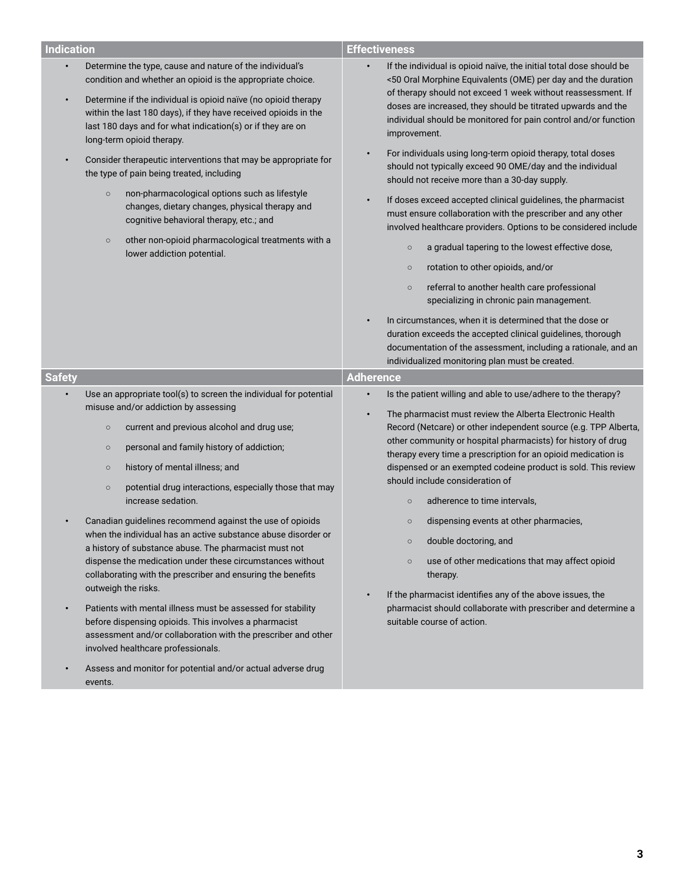| <b>Indication</b>                   |                                                                                                                                                                                                                                                                                                                                                                                                                                                                                                                                                                                                                                                                                                                                                                                                                                                                                                      | <b>Effectiveness</b>                                                                                                                                                                                                                                                                                                                                                                                                                                                                                                                                                                                                                                                                                                                                                                                                                                                                                                                                   |  |
|-------------------------------------|------------------------------------------------------------------------------------------------------------------------------------------------------------------------------------------------------------------------------------------------------------------------------------------------------------------------------------------------------------------------------------------------------------------------------------------------------------------------------------------------------------------------------------------------------------------------------------------------------------------------------------------------------------------------------------------------------------------------------------------------------------------------------------------------------------------------------------------------------------------------------------------------------|--------------------------------------------------------------------------------------------------------------------------------------------------------------------------------------------------------------------------------------------------------------------------------------------------------------------------------------------------------------------------------------------------------------------------------------------------------------------------------------------------------------------------------------------------------------------------------------------------------------------------------------------------------------------------------------------------------------------------------------------------------------------------------------------------------------------------------------------------------------------------------------------------------------------------------------------------------|--|
| $\bullet$<br>$\bullet$<br>$\bullet$ | Determine the type, cause and nature of the individual's<br>condition and whether an opioid is the appropriate choice.<br>Determine if the individual is opioid naïve (no opioid therapy<br>within the last 180 days), if they have received opioids in the<br>last 180 days and for what indication(s) or if they are on<br>long-term opioid therapy.<br>Consider therapeutic interventions that may be appropriate for<br>the type of pain being treated, including<br>non-pharmacological options such as lifestyle<br>$\circ$<br>changes, dietary changes, physical therapy and<br>cognitive behavioral therapy, etc.; and<br>other non-opioid pharmacological treatments with a<br>$\circ$<br>lower addiction potential.                                                                                                                                                                        | If the individual is opioid naïve, the initial total dose should be<br>$\bullet$<br><50 Oral Morphine Equivalents (OME) per day and the duration<br>of therapy should not exceed 1 week without reassessment. If<br>doses are increased, they should be titrated upwards and the<br>individual should be monitored for pain control and/or function<br>improvement.<br>For individuals using long-term opioid therapy, total doses<br>$\bullet$<br>should not typically exceed 90 OME/day and the individual<br>should not receive more than a 30-day supply.<br>If doses exceed accepted clinical guidelines, the pharmacist<br>$\bullet$<br>must ensure collaboration with the prescriber and any other<br>involved healthcare providers. Options to be considered include<br>a gradual tapering to the lowest effective dose,<br>$\circ$<br>rotation to other opioids, and/or<br>$\circ$<br>referral to another health care professional<br>$\circ$ |  |
|                                     |                                                                                                                                                                                                                                                                                                                                                                                                                                                                                                                                                                                                                                                                                                                                                                                                                                                                                                      | specializing in chronic pain management.<br>In circumstances, when it is determined that the dose or<br>$\bullet$<br>duration exceeds the accepted clinical guidelines, thorough<br>documentation of the assessment, including a rationale, and an<br>individualized monitoring plan must be created.                                                                                                                                                                                                                                                                                                                                                                                                                                                                                                                                                                                                                                                  |  |
| <b>Safety</b>                       |                                                                                                                                                                                                                                                                                                                                                                                                                                                                                                                                                                                                                                                                                                                                                                                                                                                                                                      | <b>Adherence</b>                                                                                                                                                                                                                                                                                                                                                                                                                                                                                                                                                                                                                                                                                                                                                                                                                                                                                                                                       |  |
| $\bullet$                           | Use an appropriate tool(s) to screen the individual for potential<br>misuse and/or addiction by assessing<br>current and previous alcohol and drug use;<br>$\circ$<br>personal and family history of addiction;<br>$\circ$<br>history of mental illness; and<br>$\circ$<br>potential drug interactions, especially those that may<br>$\circ$<br>increase sedation.<br>Canadian guidelines recommend against the use of opioids<br>when the individual has an active substance abuse disorder or<br>a history of substance abuse. The pharmacist must not<br>dispense the medication under these circumstances without<br>collaborating with the prescriber and ensuring the benefits<br>outweigh the risks.<br>Patients with mental illness must be assessed for stability<br>before dispensing opioids. This involves a pharmacist<br>assessment and/or collaboration with the prescriber and other | Is the patient willing and able to use/adhere to the therapy?<br>$\bullet$<br>The pharmacist must review the Alberta Electronic Health<br>$\bullet$<br>Record (Netcare) or other independent source (e.g. TPP Alberta,<br>other community or hospital pharmacists) for history of drug<br>therapy every time a prescription for an opioid medication is<br>dispensed or an exempted codeine product is sold. This review<br>should include consideration of<br>adherence to time intervals,<br>$\circ$<br>dispensing events at other pharmacies,<br>$\circ$<br>double doctoring, and<br>$\circ$<br>use of other medications that may affect opioid<br>$\circ$<br>therapy.<br>If the pharmacist identifies any of the above issues, the<br>$\bullet$<br>pharmacist should collaborate with prescriber and determine a<br>suitable course of action.                                                                                                     |  |
| $\bullet$                           | involved healthcare professionals.<br>Assess and monitor for potential and/or actual adverse drug                                                                                                                                                                                                                                                                                                                                                                                                                                                                                                                                                                                                                                                                                                                                                                                                    |                                                                                                                                                                                                                                                                                                                                                                                                                                                                                                                                                                                                                                                                                                                                                                                                                                                                                                                                                        |  |

events.

**3**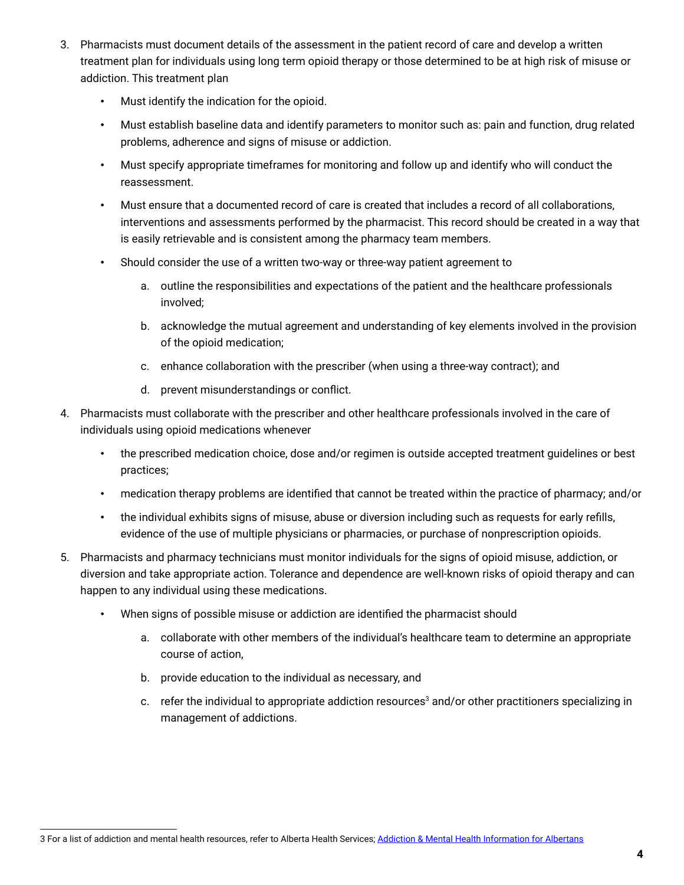- 3. Pharmacists must document details of the assessment in the patient record of care and develop a written treatment plan for individuals using long term opioid therapy or those determined to be at high risk of misuse or addiction. This treatment plan
	- Must identify the indication for the opioid.
	- Must establish baseline data and identify parameters to monitor such as: pain and function, drug related problems, adherence and signs of misuse or addiction.
	- Must specify appropriate timeframes for monitoring and follow up and identify who will conduct the reassessment.
	- Must ensure that a documented record of care is created that includes a record of all collaborations, interventions and assessments performed by the pharmacist. This record should be created in a way that is easily retrievable and is consistent among the pharmacy team members.
	- Should consider the use of a written two-way or three-way patient agreement to
		- a. outline the responsibilities and expectations of the patient and the healthcare professionals involved;
		- b. acknowledge the mutual agreement and understanding of key elements involved in the provision of the opioid medication;
		- c. enhance collaboration with the prescriber (when using a three-way contract); and
		- d. prevent misunderstandings or conflict.
- 4. Pharmacists must collaborate with the prescriber and other healthcare professionals involved in the care of individuals using opioid medications whenever
	- the prescribed medication choice, dose and/or regimen is outside accepted treatment guidelines or best practices;
	- medication therapy problems are identified that cannot be treated within the practice of pharmacy; and/or
	- the individual exhibits signs of misuse, abuse or diversion including such as requests for early refills, evidence of the use of multiple physicians or pharmacies, or purchase of nonprescription opioids.
- 5. Pharmacists and pharmacy technicians must monitor individuals for the signs of opioid misuse, addiction, or diversion and take appropriate action. Tolerance and dependence are well-known risks of opioid therapy and can happen to any individual using these medications.
	- When signs of possible misuse or addiction are identified the pharmacist should
		- a. collaborate with other members of the individual's healthcare team to determine an appropriate course of action,
		- b. provide education to the individual as necessary, and
		- c. refer the individual to appropriate addiction resources<sup>3</sup> and/or other practitioners specializing in management of addictions.

<sup>3</sup> For a list of addiction and mental health resources, refer to Alberta Health Services; [Addiction & Mental Health Information for Albertans](https://www.albertahealthservices.ca/amh/amh.aspx)